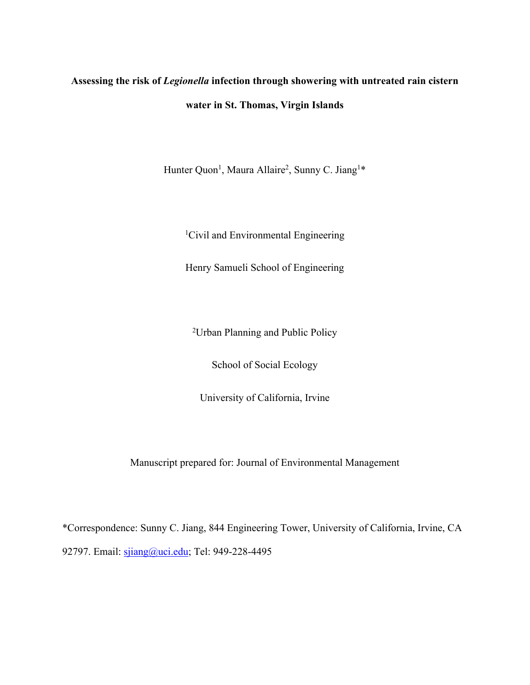# **Assessing the risk of** *Legionella* **infection through showering with untreated rain cistern water in St. Thomas, Virgin Islands**

Hunter Quon<sup>1</sup>, Maura Allaire<sup>2</sup>, Sunny C. Jiang<sup>1\*</sup>

<sup>1</sup>Civil and Environmental Engineering

Henry Samueli School of Engineering

2 Urban Planning and Public Policy

School of Social Ecology

University of California, Irvine

Manuscript prepared for: Journal of Environmental Management

\*Correspondence: Sunny C. Jiang, 844 Engineering Tower, University of California, Irvine, CA 92797. Email: sjiang@uci.edu; Tel: 949-228-4495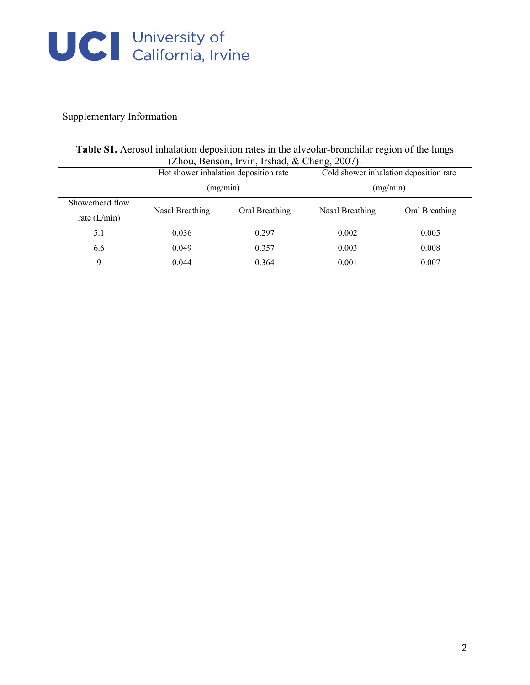

### Supplementary Information

|                 | (Zhou, Benson, Irvin, Irshad, & Cheng, 2007).<br>Hot shower inhalation deposition rate<br>(mg/min) |                | Cold shower inhalation deposition rate<br>(mg/min) |                |
|-----------------|----------------------------------------------------------------------------------------------------|----------------|----------------------------------------------------|----------------|
|                 |                                                                                                    |                |                                                    |                |
| Showerhead flow | Nasal Breathing                                                                                    | Oral Breathing | Nasal Breathing                                    | Oral Breathing |
| rate $(L/min)$  |                                                                                                    |                |                                                    |                |
| 5.1             | 0.036                                                                                              | 0.297          | 0.002                                              | 0.005          |
| 6.6             | 0.049                                                                                              | 0.357          | 0.003                                              | 0.008          |
| 9               | 0.044                                                                                              | 0.364          | 0.001                                              | 0.007          |

**Table S1.** Aerosol inhalation deposition rates in the alveolar-bronchilar region of the lungs (Zhou, Benson, Irvin, Irshad, & Cheng, 2007).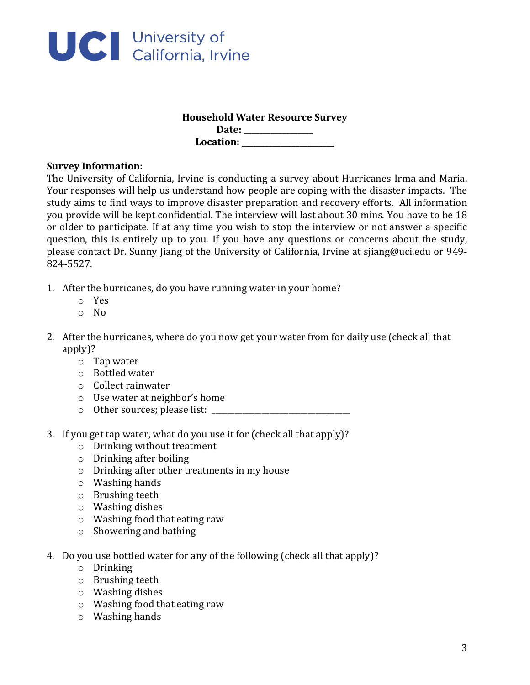

## **Household Water Resource Survey**

**Date: \_\_\_\_\_\_\_\_\_\_\_\_\_\_\_\_\_\_** Location:

#### **Survey Information:**

The University of California, Irvine is conducting a survey about Hurricanes Irma and Maria. Your responses will help us understand how people are coping with the disaster impacts. The study aims to find ways to improve disaster preparation and recovery efforts. All information you provide will be kept confidential. The interview will last about 30 mins. You have to be 18 or older to participate. If at any time you wish to stop the interview or not answer a specific question, this is entirely up to you. If you have any questions or concerns about the study, please contact Dr. Sunny Jiang of the University of California, Irvine at sjiang@uci.edu or 949-824-5527.

- 1. After the hurricanes, do you have running water in your home?
	- o Yes
	- o No
- 2. After the hurricanes, where do you now get your water from for daily use (check all that apply)?
	- $\circ$  Tap water
	- o Bottled water
	- o Collect rainwater
	- $\circ$  Use water at neighbor's home
	- $\circ$  Other sources; please list:
- 3. If you get tap water, what do you use it for (check all that apply)?
	- $\circ$  Drinking without treatment
	- $\circ$  Drinking after boiling
	- $\circ$  Drinking after other treatments in my house
	- $\circ$  Washing hands
	- $\circ$  Brushing teeth
	- $\circ$  Washing dishes
	- $\circ$  Washing food that eating raw
	- $\circ$  Showering and bathing
- 4. Do you use bottled water for any of the following (check all that apply)?
	- o Drinking
	- $\circ$  Brushing teeth
	- $\circ$  Washing dishes
	- $\circ$  Washing food that eating raw
	- $\circ$  Washing hands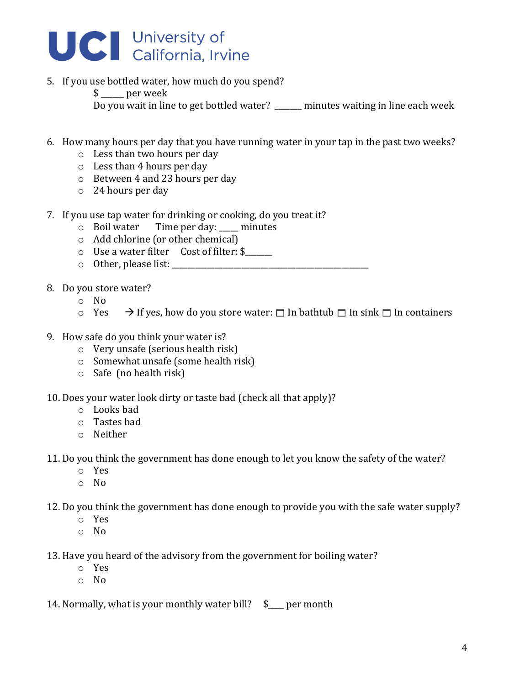

- 5. If you use bottled water, how much do you spend?
	- \$ per week Do you wait in line to get bottled water?  $\Box$  minutes waiting in line each week
- 6. How many hours per day that you have running water in your tap in the past two weeks?
	- $\circ$  Less than two hours per day
	- $\circ$  Less than 4 hours per day
	- $\circ$  Between 4 and 23 hours per day
	- $\circ$  24 hours per day
- 7. If you use tap water for drinking or cooking, do you treat it?
	- $\circ$  Boil water Time per day: \_\_\_\_ minutes
	- $\circ$  Add chlorine (or other chemical)
	- $\circ$  Use a water filter Cost of filter: \$
	- $\circ$  Other, please list:
- 8. Do you store water?
	- o No
	- $\circ$  Yes  $\rightarrow$  If yes, how do you store water:  $\Box$  In bathtub  $\Box$  In sink  $\Box$  In containers
- 9. How safe do you think your water is?
	- $\circ$  Very unsafe (serious health risk)
	- $\circ$  Somewhat unsafe (some health risk)
	- $\circ$  Safe (no health risk)

10. Does your water look dirty or taste bad (check all that apply)?

- o Looks bad
- $\circ$  Tastes bad
- o Neither

11. Do you think the government has done enough to let you know the safety of the water?

- o Yes
- o No

12. Do you think the government has done enough to provide you with the safe water supply?

- o Yes
- o No
- 13. Have you heard of the advisory from the government for boiling water?
	- o Yes
	- o No

14. Normally, what is your monthly water bill?  $$$  per month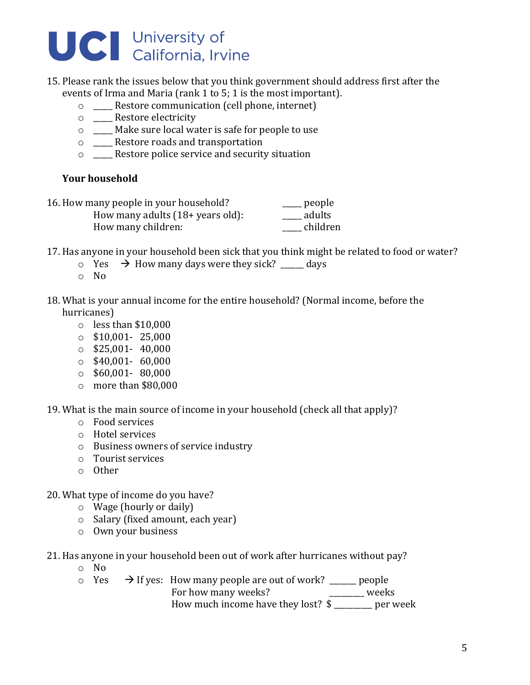

- 15. Please rank the issues below that you think government should address first after the events of Irma and Maria (rank 1 to 5; 1 is the most important).
	- $\circ$  Restore communication (cell phone, internet)
	- $\circ$  \_\_\_\_\_ Restore electricity
	- $\circ$  \_\_\_\_ Make sure local water is safe for people to use
	- o \_\_\_\_\_ Restore roads and transportation
	- o \_\_\_\_\_ Restore police service and security situation

#### **Your household**

| 16. How many people in your household?       | . people |
|----------------------------------------------|----------|
| How many adults $(18 + \text{ years old})$ : | adults   |
| How many children:                           | children |

- 17. Has anyone in your household been sick that you think might be related to food or water?
	- $\circ$  Yes  $\rightarrow$  How many days were they sick? days
	- o No
- 18. What is your annual income for the entire household? (Normal income, before the hurricanes)
	- $\circ$  less than \$10,000
	- $\circ$  \$10,001- 25,000
	- $\circ$  \$25,001- 40,000
	- $\circ$  \$40,001- 60,000
	- $\circ$  \$60,001- 80,000
	- $\circ$  more than \$80,000

19. What is the main source of income in your household (check all that apply)?

- $\circ$  Food services
- o Hotel services
- o Business owners of service industry
- $\circ$  Tourist services
- o Other

#### 20. What type of income do you have?

- $\circ$  Wage (hourly or daily)
- $\circ$  Salary (fixed amount, each year)
- o Own your business
- 21. Has anyone in your household been out of work after hurricanes without pay?
	- o No
	- $\circ$  Yes  $\rightarrow$  If yes: How many people are out of work? \_\_\_\_\_\_ people For how many weeks? \_\_\_\_\_\_\_\_\_\_\_\_\_\_\_\_\_\_ weeks How much income have they lost? \$ \_\_\_\_\_\_\_ per week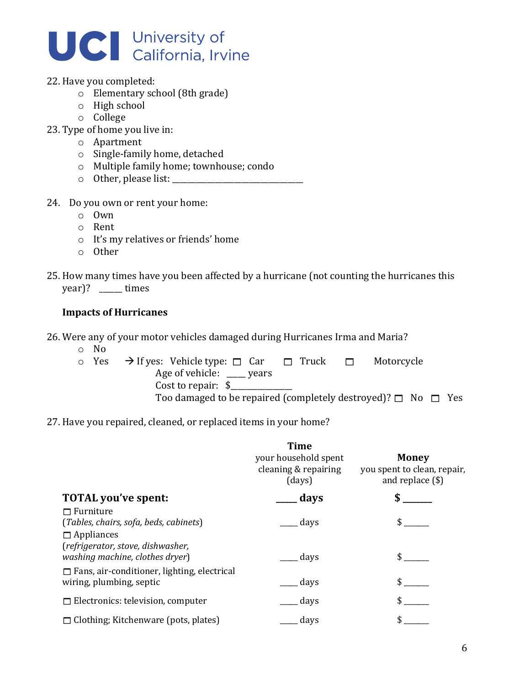

#### 22. Have you completed:

- $\circ$  Elementary school (8th grade)
- $\circ$  High school
- o College
- 23. Type of home you live in:
	- o Apartment
	- $\circ$  Single-family home, detached
	- o Multiple family home; townhouse; condo
	- o Other, please list: \_\_\_\_\_\_\_\_\_\_\_\_\_\_\_\_\_\_\_\_\_\_\_\_\_\_\_\_\_\_\_\_\_\_
- 24. Do you own or rent your home:
	- o Own
	- o Rent
	- $\circ$  It's my relatives or friends' home
	- o Other
- 25. How many times have you been affected by a hurricane (not counting the hurricanes this  $year$ ? \_\_\_\_\_\_ times

#### **Impacts of Hurricanes**

26. Were any of your motor vehicles damaged during Hurricanes Irma and Maria?

- o No
- $\circ$  Yes  $\rightarrow$  If yes: Vehicle type:  $\Box$  Car  $\Box$  Truck  $\Box$  Motorcycle Age of vehicle:  $\rule{1em}{0.15mm}$  years Cost to repair:  $\$$ Too damaged to be repaired (completely destroyed)?  $\Box$  No  $\Box$  Yes

#### 27. Have you repaired, cleaned, or replaced items in your home?

|                                                                                 | <b>Time</b><br>your household spent<br>cleaning & repairing<br>(days) | <b>Money</b><br>you spent to clean, repair,<br>and replace $(\$)$ |
|---------------------------------------------------------------------------------|-----------------------------------------------------------------------|-------------------------------------------------------------------|
| <b>TOTAL you've spent:</b>                                                      | __ days                                                               |                                                                   |
| $\Box$ Furniture<br>(Tables, chairs, sofa, beds, cabinets)<br>$\Box$ Appliances | __ days                                                               | \$                                                                |
| (refrigerator, stove, dishwasher,<br>washing machine, clothes dryer)            | __ days                                                               |                                                                   |
| $\Box$ Fans, air-conditioner, lighting, electrical<br>wiring, plumbing, septic  | days                                                                  |                                                                   |
| $\Box$ Electronics: television, computer                                        | days                                                                  |                                                                   |
| $\Box$ Clothing; Kitchenware (pots, plates)                                     | days                                                                  |                                                                   |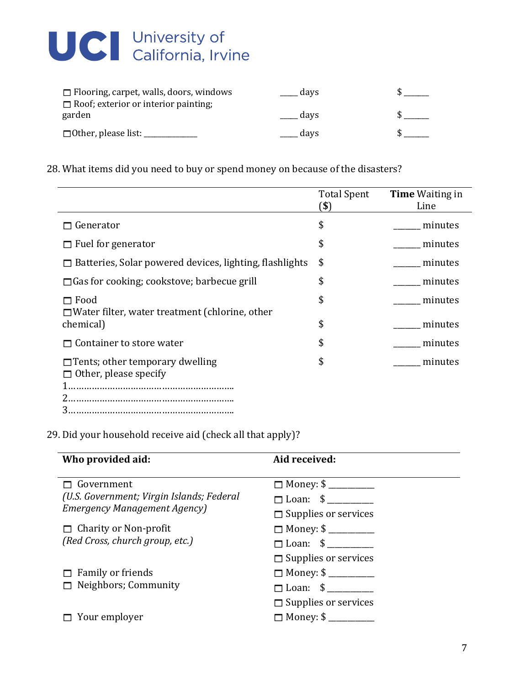

| $\Box$ Flooring, carpet, walls, doors, windows | days |  |
|------------------------------------------------|------|--|
| $\Box$ Roof; exterior or interior painting;    |      |  |
| garden                                         | davs |  |
| $\Box$ Other, please list: $\Box$              | days |  |

28. What items did you need to buy or spend money on because of the disasters?

|                                                                        | <b>Total Spent</b><br>(\$ | <b>Time</b> Waiting in<br>Line |
|------------------------------------------------------------------------|---------------------------|--------------------------------|
| Generator                                                              | \$                        | minutes                        |
| $\Box$ Fuel for generator                                              | \$                        | minutes                        |
| $\Box$ Batteries, Solar powered devices, lighting, flashlights         | \$                        | minutes                        |
| $\Box$ Gas for cooking; cookstove; barbecue grill                      | \$                        | minutes                        |
| $\Box$ Food<br>$\Box$ Water filter, water treatment (chlorine, other   | \$                        | minutes                        |
| chemical)                                                              | \$                        | minutes                        |
| Container to store water                                               | \$                        | minutes                        |
| $\Box$ Tents; other temporary dwelling<br>$\Box$ Other, please specify | \$                        | minutes                        |
| 3                                                                      |                           |                                |

29. Did your household receive aid (check all that apply)?

| Who provided aid:                         | Aid received:               |
|-------------------------------------------|-----------------------------|
| $\Box$ Government                         |                             |
| (U.S. Government; Virgin Islands; Federal | $\Box$ Loan: $\$$           |
| <b>Emergency Management Agency</b> )      | $\Box$ Supplies or services |
| $\Box$ Charity or Non-profit              | $\Box$ Money: \$            |
| (Red Cross, church group, etc.)           | $\Box$ Loan: $\$$           |
|                                           | $\Box$ Supplies or services |
| $\Box$ Family or friends                  | $\Box$ Money: \$            |
| $\Box$ Neighbors; Community               | $\Box$ Loan: $\frac{1}{2}$  |
|                                           | $\Box$ Supplies or services |
| $\Box$ Your employer                      | $\Box$ Money: \$            |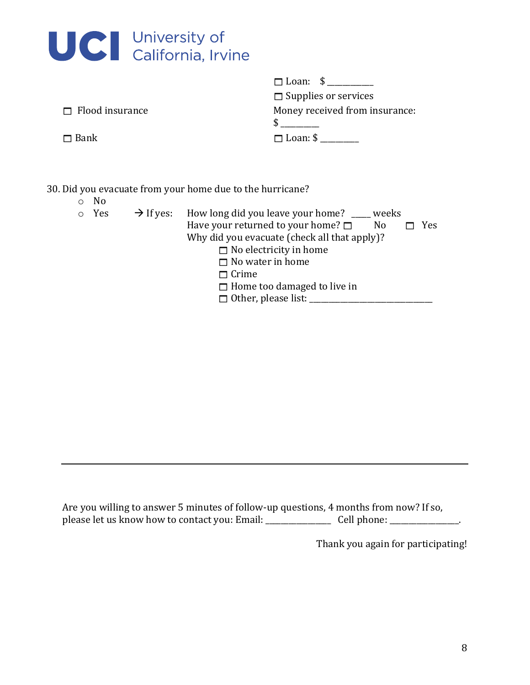| UCI University of<br>California, Irvine |
|-----------------------------------------|

|                        | $\Box$ Loan: $\sqrt{$}$        |
|------------------------|--------------------------------|
|                        | $\Box$ Supplies or services    |
| $\Box$ Flood insurance | Money received from insurance: |
|                        |                                |
| $\Box$ Bank            | $\Box$ Loan: \$ ___            |
|                        |                                |

30. Did you evacuate from your home due to the hurricane?

o No

| 0 Yes | $\rightarrow$ If yes: How long did you leave your home? ____ weeks |
|-------|--------------------------------------------------------------------|
|       | Have your returned to your home? $\square$<br>Yes<br>No.           |
|       | Why did you evacuate (check all that apply)?                       |
|       | $\Box$ No electricity in home                                      |
|       | $\Box$ No water in home                                            |
|       | $\Box$ Crime                                                       |
|       | $\Box$ Home too damaged to live in                                 |
|       | $\Box$ Other, please list:                                         |

Are you willing to answer 5 minutes of follow-up questions, 4 months from now? If so, please let us know how to contact you: Email: \_\_\_\_\_\_\_\_\_\_\_\_\_\_\_\_\_ Cell phone: \_\_\_\_\_\_\_\_\_\_\_\_\_\_\_\_\_\_.

Thank you again for participating!